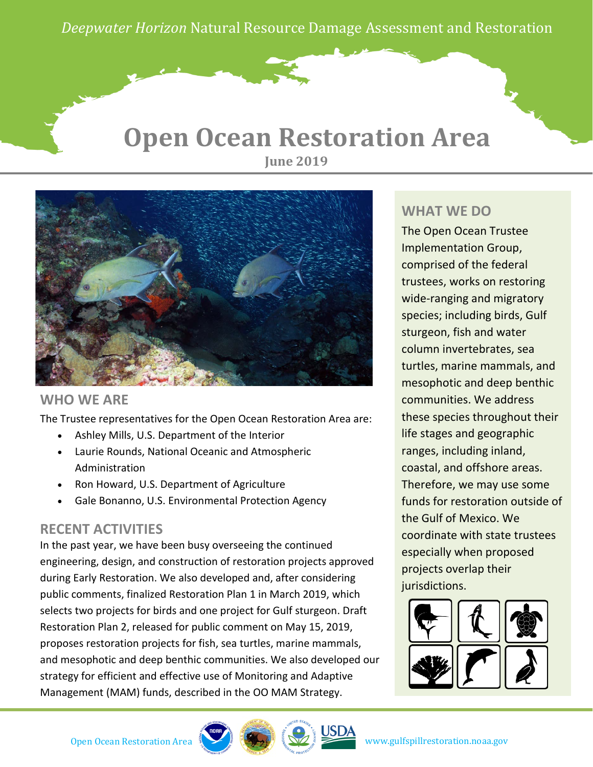*Deepwater Horizon* Natural Resource Damage Assessment and Restoration

### **Open Ocean Restoration Area June 2019**



#### **WHO WE ARE**

The Trustee representatives for the Open Ocean Restoration Area are:

- Ashley Mills, U.S. Department of the Interior
- Laurie Rounds, National Oceanic and Atmospheric Administration
- Ron Howard, U.S. Department of Agriculture
- Gale Bonanno, U.S. Environmental Protection Agency

### **RECENT ACTIVITIES**

In the past year, we have been busy overseeing the continued engineering, design, and construction of restoration projects approved during Early Restoration. We also developed and, after considering public comments, finalized Restoration Plan 1 in March 2019, which selects two projects for birds and one project for Gulf sturgeon. Draft Restoration Plan 2, released for public comment on May 15, 2019, proposes restoration projects for fish, sea turtles, marine mammals, and mesophotic and deep benthic communities. We also developed our strategy for efficient and effective use of Monitoring and Adaptive Management (MAM) funds, described in the OO MAM Strategy.

### **WHAT WE DO**

The Open Ocean Trustee Implementation Group, comprised of the federal trustees, works on restoring wide-ranging and migratory species; including birds, Gulf sturgeon, fish and water column invertebrates, sea turtles, marine mammals, and mesophotic and deep benthic communities. We address these species throughout their life stages and geographic ranges, including inland, coastal, and offshore areas. Therefore, we may use some funds for restoration outside of the Gulf of Mexico. We coordinate with state trustees especially when proposed projects overlap their jurisdictions.